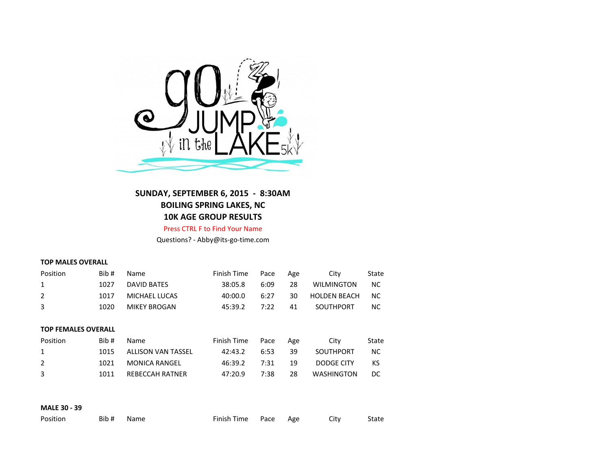

**SUNDAY, SEPTEMBER 6, 2015 - 8:30AM BOILING SPRING LAKES, NC 10K AGE GROUP RESULTS**

Press CTRL F to Find Your Name

Questions? - Abby@its-go-time.com

## **TOP MALES OVERALL**

| Position                   | Bib# | Name                      | Finish Time | Pace | Age | City                | State     |  |  |
|----------------------------|------|---------------------------|-------------|------|-----|---------------------|-----------|--|--|
| 1                          | 1027 | <b>DAVID BATES</b>        | 38:05.8     | 6:09 | 28  | <b>WILMINGTON</b>   | <b>NC</b> |  |  |
| $\overline{2}$             | 1017 | MICHAEL LUCAS             | 40:00.0     | 6:27 | 30  | <b>HOLDEN BEACH</b> | NC.       |  |  |
| 3                          | 1020 | <b>MIKEY BROGAN</b>       | 45:39.2     | 7:22 | 41  | SOUTHPORT           | NС        |  |  |
|                            |      |                           |             |      |     |                     |           |  |  |
| <b>TOP FEMALES OVERALL</b> |      |                           |             |      |     |                     |           |  |  |
| Position                   | Bib# | Name                      | Finish Time | Pace | Age | City                | State     |  |  |
| 1                          | 1015 | <b>ALLISON VAN TASSEL</b> | 42:43.2     | 6:53 | 39  | SOUTHPORT           | <b>NC</b> |  |  |
| $\overline{2}$             | 1021 | <b>MONICA RANGEL</b>      | 46:39.2     | 7:31 | 19  | DODGE CITY          | KS        |  |  |
|                            |      |                           |             |      |     |                     |           |  |  |
| 3                          | 1011 | <b>REBECCAH RATNER</b>    | 47:20.9     | 7:38 | 28  | <b>WASHINGTON</b>   | DC        |  |  |

## **MALE 30 - 39**

| Position |  | Bib # Name | Finish Time Pace Age |  |  | City | State |
|----------|--|------------|----------------------|--|--|------|-------|
|----------|--|------------|----------------------|--|--|------|-------|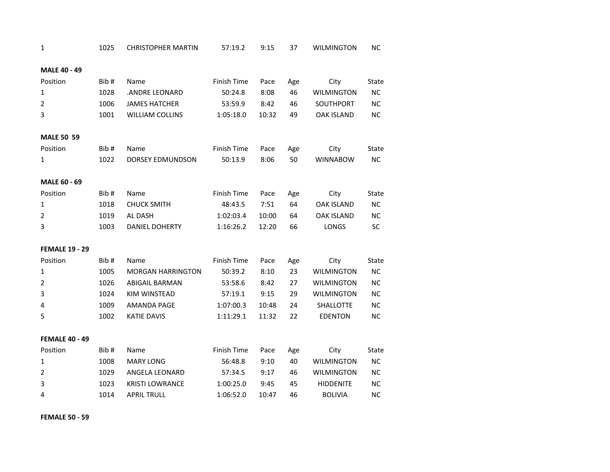| 1                     | 1025  | <b>CHRISTOPHER MARTIN</b> | 57:19.2     | 9:15  | 37  | <b>WILMINGTON</b> | <b>NC</b> |
|-----------------------|-------|---------------------------|-------------|-------|-----|-------------------|-----------|
| <b>MALE 40 - 49</b>   |       |                           |             |       |     |                   |           |
| Position              | Bib#  | Name                      | Finish Time | Pace  | Age | City              | State     |
| 1                     | 1028  | .ANDRE LEONARD            | 50:24.8     | 8:08  | 46  | <b>WILMINGTON</b> | NC.       |
| $\overline{2}$        | 1006  | <b>JAMES HATCHER</b>      | 53:59.9     | 8:42  | 46  | SOUTHPORT         | <b>NC</b> |
| 3                     | 1001  | <b>WILLIAM COLLINS</b>    | 1:05:18.0   | 10:32 | 49  | <b>OAK ISLAND</b> | <b>NC</b> |
| <b>MALE 50 59</b>     |       |                           |             |       |     |                   |           |
| Position              | Bib#  | Name                      | Finish Time | Pace  | Age | City              | State     |
| 1                     | 1022  | DORSEY EDMUNDSON          | 50:13.9     | 8:06  | 50  | <b>WINNABOW</b>   | NC        |
| MALE 60 - 69          |       |                           |             |       |     |                   |           |
| Position              | Bib#  | Name                      | Finish Time | Pace  | Age | City              | State     |
| $\mathbf{1}$          | 1018  | <b>CHUCK SMITH</b>        | 48:43.5     | 7:51  | 64  | <b>OAK ISLAND</b> | <b>NC</b> |
| $\overline{2}$        | 1019  | AL DASH                   | 1:02:03.4   | 10:00 | 64  | <b>OAK ISLAND</b> | <b>NC</b> |
| 3                     | 1003  | DANIEL DOHERTY            | 1:16:26.2   | 12:20 | 66  | LONGS             | <b>SC</b> |
| <b>FEMALE 19 - 29</b> |       |                           |             |       |     |                   |           |
| Position              | Bib # | Name                      | Finish Time | Pace  | Age | City              | State     |
| $\mathbf{1}$          | 1005  | <b>MORGAN HARRINGTON</b>  | 50:39.2     | 8:10  | 23  | <b>WILMINGTON</b> | <b>NC</b> |
| $\overline{2}$        | 1026  | <b>ABIGAIL BARMAN</b>     | 53:58.6     | 8:42  | 27  | <b>WILMINGTON</b> | <b>NC</b> |
| 3                     | 1024  | KIM WINSTEAD              | 57:19.1     | 9:15  | 29  | <b>WILMINGTON</b> | NC        |
| 4                     | 1009  | AMANDA PAGE               | 1:07:00.3   | 10:48 | 24  | SHALLOTTE         | <b>NC</b> |
| 5                     | 1002  | <b>KATIE DAVIS</b>        | 1:11:29.1   | 11:32 | 22  | <b>EDENTON</b>    | <b>NC</b> |
| <b>FEMALE 40 - 49</b> |       |                           |             |       |     |                   |           |
| Position              | Bib#  | Name                      | Finish Time | Pace  | Age | City              | State     |
| $\mathbf{1}$          | 1008  | <b>MARY LONG</b>          | 56:48.8     | 9:10  | 40  | <b>WILMINGTON</b> | <b>NC</b> |
| $\overline{2}$        | 1029  | ANGELA LEONARD            | 57:34.5     | 9:17  | 46  | <b>WILMINGTON</b> | <b>NC</b> |
| 3                     | 1023  | <b>KRISTI LOWRANCE</b>    | 1:00:25.0   | 9:45  | 45  | <b>HIDDENITE</b>  | <b>NC</b> |
| 4                     | 1014  | <b>APRIL TRULL</b>        | 1:06:52.0   | 10:47 | 46  | <b>BOLIVIA</b>    | <b>NC</b> |
|                       |       |                           |             |       |     |                   |           |

**FEMALE 50 - 59**